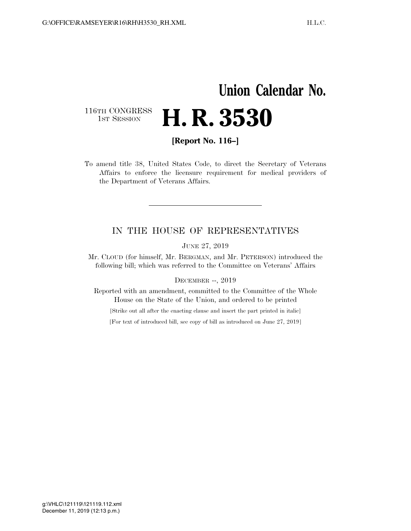## **Union Calendar No.**  116TH CONGRESS<br>1st Session H. R. 3530

**[Report No. 116–]** 

To amend title 38, United States Code, to direct the Secretary of Veterans Affairs to enforce the licensure requirement for medical providers of the Department of Veterans Affairs.

## IN THE HOUSE OF REPRESENTATIVES

JUNE 27, 2019

Mr. CLOUD (for himself, Mr. BERGMAN, and Mr. PETERSON) introduced the following bill; which was referred to the Committee on Veterans' Affairs

DECEMBER --, 2019

Reported with an amendment, committed to the Committee of the Whole House on the State of the Union, and ordered to be printed

[Strike out all after the enacting clause and insert the part printed in italic]

[For text of introduced bill, see copy of bill as introduced on June 27, 2019]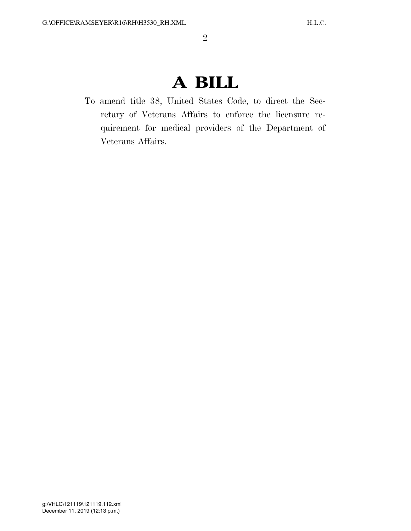## **A BILL**

To amend title 38, United States Code, to direct the Secretary of Veterans Affairs to enforce the licensure requirement for medical providers of the Department of Veterans Affairs.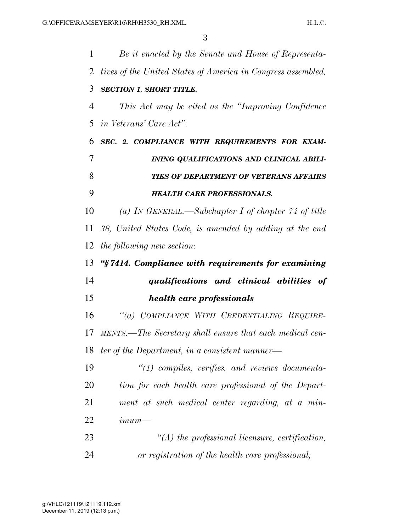| $\mathbf{1}$ | Be it enacted by the Senate and House of Representa-         |
|--------------|--------------------------------------------------------------|
| 2            | tives of the United States of America in Congress assembled, |
| 3            | <b>SECTION 1. SHORT TITLE.</b>                               |
| 4            | This Act may be cited as the "Improving Confidence"          |
| 5            | <i>in Veterans' Care Act".</i>                               |
| 6            | SEC. 2. COMPLIANCE WITH REQUIREMENTS FOR EXAM-               |
| 7            | INING QUALIFICATIONS AND CLINICAL ABILI-                     |
| 8            | TIES OF DEPARTMENT OF VETERANS AFFAIRS                       |
| 9            | <b>HEALTH CARE PROFESSIONALS.</b>                            |
| 10           | (a) IN GENERAL.—Subchapter I of chapter $74$ of title        |
| 11           | 38, United States Code, is amended by adding at the end      |
| 12           | the following new section:                                   |
| 13           | "§7414. Compliance with requirements for examining           |
| 14           | qualifications and clinical abilities of                     |
| 15           | health care professionals                                    |
| 16           | "(a) COMPLIANCE WITH CREDENTIALING REQUIRE-                  |
| 17           | MENTS.—The Secretary shall ensure that each medical cen-     |
| 18           | ter of the Department, in a consistent manner—               |
| 19           | $\lq(1)$ compiles, verifies, and reviews documenta-          |
| 20           | tion for each health care professional of the Depart-        |
| 21           | ment at such medical center regarding, at a min-             |
| 22           | $\limum$ —                                                   |
| 23           | $\lq (A)$ the professional licensure, certification,         |
| 24           | or registration of the health care professional;             |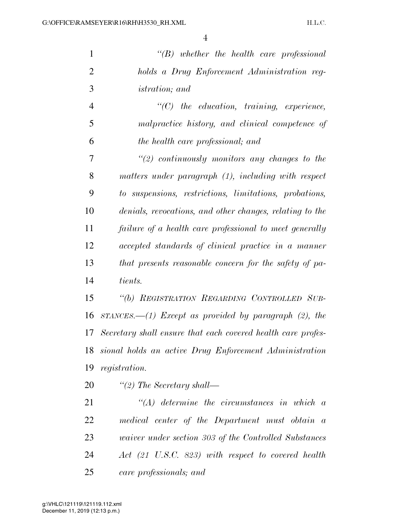| $\mathbf{1}$   | $\lq\lq B$ whether the health care professional                   |
|----------------|-------------------------------------------------------------------|
| $\overline{2}$ | holds a Drug Enforcement Administration reg-                      |
| 3              | <i>istration</i> ; and                                            |
| $\overline{4}$ | $\lq$ (C) the education, training, experience,                    |
| 5              | malpractice history, and clinical competence of                   |
| 6              | the health care professional; and                                 |
| 7              | $\lq(2)$ continuously monitors any changes to the                 |
| 8              | matters under paragraph (1), including with respect               |
| 9              | to suspensions, restrictions, limitations, probations,            |
| 10             | denials, revocations, and other changes, relating to the          |
| 11             | failure of a health care professional to meet generally           |
| 12             | accepted standards of clinical practice in a manner               |
| 13             | that presents reasonable concern for the safety of pa-            |
| 14             | tients.                                                           |
| 15             | "(b) REGISTRATION REGARDING CONTROLLED SUB-                       |
| 16             | $STANCES. \text{---}(1)$ Except as provided by paragraph (2), the |
| 17             | Secretary shall ensure that each covered health care profes-      |
| 18             | sional holds an active Drug Enforcement Administration            |
| 19             | registration.                                                     |
| 20             | "(2) The Secretary shall—                                         |
| 21             | $\lq (A)$ determine the circumstances in which a                  |
| 22             | medical center of the Department must obtain a                    |
| 23             | <i>uaiver under section 303 of the Controlled Substances</i>      |
| 24             | Act (21 U.S.C. 823) with respect to covered health                |

*care professionals; and*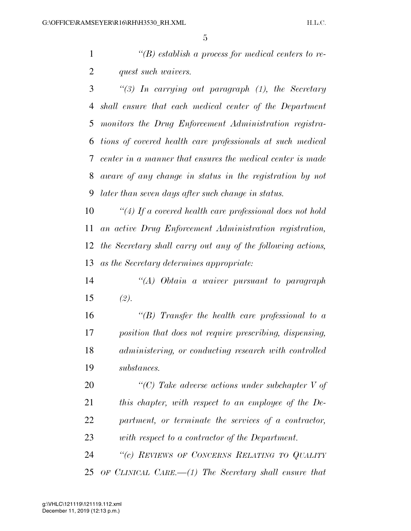*''(B) establish a process for medical centers to re-quest such waivers.* 

 *''(3) In carrying out paragraph (1), the Secretary shall ensure that each medical center of the Department monitors the Drug Enforcement Administration registra- tions of covered health care professionals at such medical center in a manner that ensures the medical center is made aware of any change in status in the registration by not later than seven days after such change in status.* 

 *''(4) If a covered health care professional does not hold an active Drug Enforcement Administration registration, the Secretary shall carry out any of the following actions, as the Secretary determines appropriate:* 

 *''(A) Obtain a waiver pursuant to paragraph (2).* 

 *''(B) Transfer the health care professional to a position that does not require prescribing, dispensing, administering, or conducting research with controlled substances.* 

 *''(C) Take adverse actions under subchapter V of this chapter, with respect to an employee of the De- partment, or terminate the services of a contractor, with respect to a contractor of the Department.* 

 *''(c) REVIEWS OF CONCERNS RELATING TO QUALITY OF CLINICAL CARE.—(1) The Secretary shall ensure that*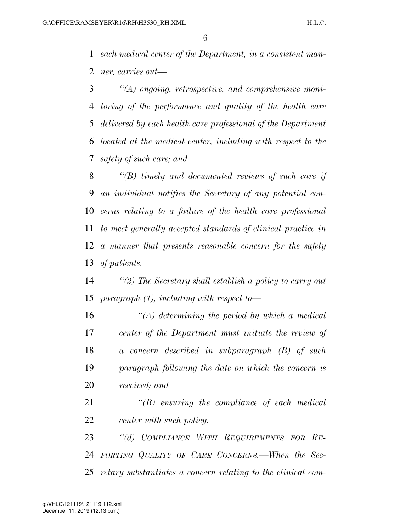*each medical center of the Department, in a consistent man-ner, carries out—* 

 *''(A) ongoing, retrospective, and comprehensive moni- toring of the performance and quality of the health care delivered by each health care professional of the Department located at the medical center, including with respect to the safety of such care; and* 

 *''(B) timely and documented reviews of such care if an individual notifies the Secretary of any potential con- cerns relating to a failure of the health care professional to meet generally accepted standards of clinical practice in a manner that presents reasonable concern for the safety of patients.* 

 *''(2) The Secretary shall establish a policy to carry out paragraph (1), including with respect to—* 

 *''(A) determining the period by which a medical center of the Department must initiate the review of a concern described in subparagraph (B) of such paragraph following the date on which the concern is received; and* 

 *''(B) ensuring the compliance of each medical center with such policy.* 

 *''(d) COMPLIANCE WITH REQUIREMENTS FOR RE- PORTING QUALITY OF CARE CONCERNS.—When the Sec-retary substantiates a concern relating to the clinical com-*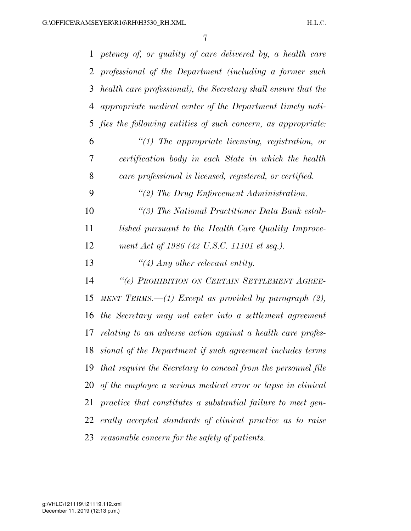| $\mathbf 1$ | petency of, or quality of care delivered by, a health care     |
|-------------|----------------------------------------------------------------|
| 2           | professional of the Department (including a former such        |
| 3           | health care professional), the Secretary shall ensure that the |
| 4           | appropriate medical center of the Department timely noti-      |
| 5           | fies the following entities of such concern, as appropriate:   |
| 6           | $\lq(1)$ The appropriate licensing, registration, or           |
| 7           | certification body in each State in which the health           |
| 8           | care professional is licensed, registered, or certified.       |
| 9           | "(2) The Drug Enforcement Administration.                      |
| 10          | "(3) The National Practitioner Data Bank estab-                |
| 11          | lished pursuant to the Health Care Quality Improve-            |
| 12          | ment Act of 1986 (42 U.S.C. 11101 et seq.).                    |
| 13          | $\lq(4)$ Any other relevant entity.                            |
| 14          | "(e) PROHIBITION ON CERTAIN SETTLEMENT AGREE-                  |
| 15          | MENT TERMS.— $(1)$ Except as provided by paragraph $(2)$ ,     |
| 16          | the Secretary may not enter into a settlement agreement        |
| 17          | relating to an adverse action against a health care profes-    |
| 18          | sional of the Department if such agreement includes terms      |
| 19          | that require the Secretary to conceal from the personnel file  |
| 20          | of the employee a serious medical error or lapse in clinical   |
| 21          | practice that constitutes a substantial failure to meet gen-   |
| 22          | erally accepted standards of clinical practice as to raise     |
| 23          | reasonable concern for the safety of patients.                 |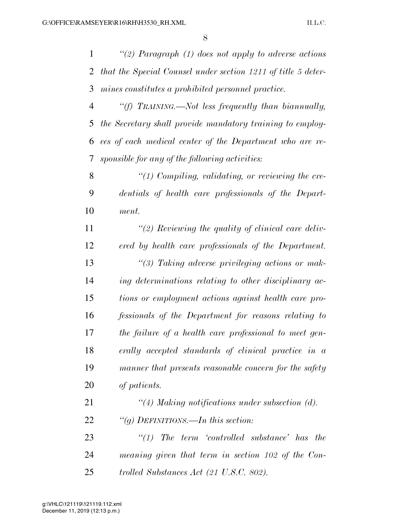*''(2) Paragraph (1) does not apply to adverse actions that the Special Counsel under section 1211 of title 5 deter-mines constitutes a prohibited personnel practice.* 

 *''(f) TRAINING.—Not less frequently than biannually, the Secretary shall provide mandatory training to employ- ees of each medical center of the Department who are re-sponsible for any of the following activities:* 

 *''(1) Compiling, validating, or reviewing the cre- dentials of health care professionals of the Depart-ment.* 

 *''(2) Reviewing the quality of clinical care deliv- ered by health care professionals of the Department. ''(3) Taking adverse privileging actions or mak- ing determinations relating to other disciplinary ac- tions or employment actions against health care pro- fessionals of the Department for reasons relating to the failure of a health care professional to meet gen- erally accepted standards of clinical practice in a manner that presents reasonable concern for the safety of patients.* 

 *''(4) Making notifications under subsection (d). ''(g) DEFINITIONS.—In this section:* 

 *''(1) The term 'controlled substance' has the meaning given that term in section 102 of the Con-trolled Substances Act (21 U.S.C. 802).*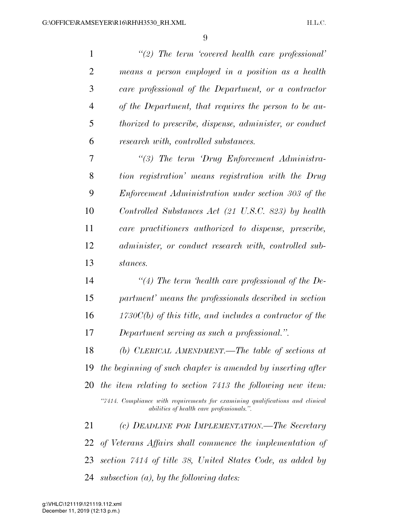| $\mathbf{1}$   | $\lq(2)$ The term 'covered health care professional'                                                                       |
|----------------|----------------------------------------------------------------------------------------------------------------------------|
| $\overline{2}$ | means a person employed in a position as a health                                                                          |
| 3              | care professional of the Department, or a contractor                                                                       |
| $\overline{4}$ | of the Department, that requires the person to be au-                                                                      |
| 5              | <i>thorized to prescribe, dispense, administer, or conduct</i>                                                             |
| 6              | research with, controlled substances.                                                                                      |
| 7              | "(3) The term 'Drug Enforcement Administra-                                                                                |
| 8              | tion registration' means registration with the Drug                                                                        |
| 9              | Enforcement Administration under section 303 of the                                                                        |
| 10             | Controlled Substances Act (21 U.S.C. 823) by health                                                                        |
| 11             | care practitioners authorized to dispense, prescribe,                                                                      |
| 12             | administer, or conduct research with, controlled sub-                                                                      |
| 13             | stances.                                                                                                                   |
| 14             | "(4) The term 'health care professional of the De-                                                                         |
| 15             | partment' means the professionals described in section                                                                     |
| 16             | $1730C(b)$ of this title, and includes a contractor of the                                                                 |
| 17             | Department serving as such a professional.".                                                                               |
| 18             | (b) CLERICAL AMENDMENT.—The table of sections at                                                                           |
| 19             | the beginning of such chapter is amended by inserting after                                                                |
| 20             | the item relating to section 7413 the following new item:                                                                  |
|                | "7414. Compliance with requirements for examining qualifications and clinical<br>abilities of health care professionals.". |
| 21             | (c) DEADLINE FOR IMPLEMENTATION.—The Secretary                                                                             |
| 22             | of Veterans Affairs shall commence the implementation of                                                                   |
| 23             | section 7414 of title 38, United States Code, as added by                                                                  |
| 24             | subsection $(a)$ , by the following dates:                                                                                 |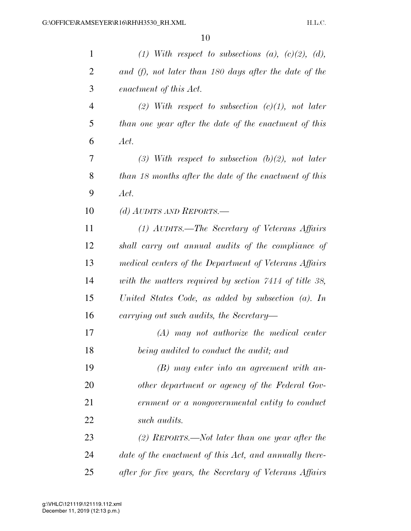| $\mathbf{1}$   | (1) With respect to subsections (a), $(c)(2)$ , $(d)$ , |
|----------------|---------------------------------------------------------|
| $\overline{2}$ | and (f), not later than 180 days after the date of the  |
| 3              | enactment of this Act.                                  |
| $\overline{4}$ | (2) With respect to subsection $(c)(1)$ , not later     |
| 5              | than one year after the date of the enactment of this   |
| 6              | Act.                                                    |
| 7              | (3) With respect to subsection (b)(2), not later        |
| 8              | than 18 months after the date of the enactment of this  |
| 9              | Act.                                                    |
| 10             | (d) AUDITS AND REPORTS.—                                |
| 11             | (1) AUDITS.—The Secretary of Veterans Affairs           |
| 12             | shall carry out annual audits of the compliance of      |
| 13             | medical centers of the Department of Veterans Affairs   |
| 14             | with the matters required by section 7414 of title 38,  |
| 15             | United States Code, as added by subsection (a). In      |
| 16             | carrying out such audits, the Secretary-                |
| 17             | $(A)$ may not authorize the medical center              |
| 18             | being audited to conduct the audit; and                 |
| 19             | $(B)$ may enter into an agreement with an-              |
| 20             | other department or agency of the Federal Gov-          |
| 21             | ernment or a nongovernmental entity to conduct          |
| 22             | such audits.                                            |
| 23             | (2) REPORTS.—Not later than one year after the          |
| 24             | date of the enactment of this Act, and annually there-  |
| 25             | after for five years, the Secretary of Veterans Affairs |